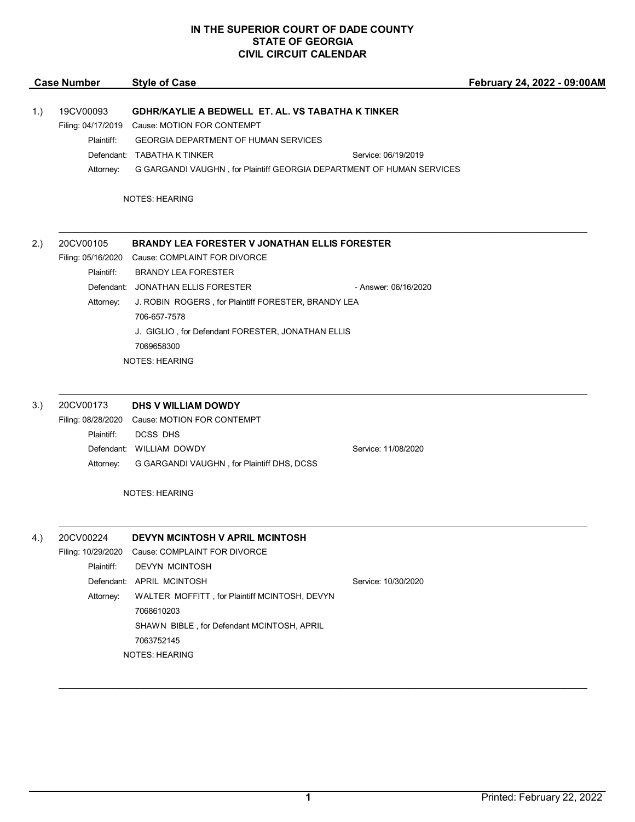## **IN THE SUPERIOR COURT OF DADE COUNTY STATE OF GEORGIA CIVIL CIRCUIT CALENDAR**

| <b>Style of Case</b>                                                                                                                                                                                                           |                                                                                                                                                                                                                                                                                                                                     | February 24, 2022 - 09:00AM                                                                                                                                                                                                                                                                    |
|--------------------------------------------------------------------------------------------------------------------------------------------------------------------------------------------------------------------------------|-------------------------------------------------------------------------------------------------------------------------------------------------------------------------------------------------------------------------------------------------------------------------------------------------------------------------------------|------------------------------------------------------------------------------------------------------------------------------------------------------------------------------------------------------------------------------------------------------------------------------------------------|
| <b>GEORGIA DEPARTMENT OF HUMAN SERVICES</b>                                                                                                                                                                                    | Service: 06/19/2019                                                                                                                                                                                                                                                                                                                 |                                                                                                                                                                                                                                                                                                |
|                                                                                                                                                                                                                                |                                                                                                                                                                                                                                                                                                                                     |                                                                                                                                                                                                                                                                                                |
| Cause: COMPLAINT FOR DIVORCE<br><b>BRANDY LEA FORESTER</b><br>706-657-7578<br>7069658300                                                                                                                                       | - Answer: 06/16/2020                                                                                                                                                                                                                                                                                                                |                                                                                                                                                                                                                                                                                                |
|                                                                                                                                                                                                                                |                                                                                                                                                                                                                                                                                                                                     |                                                                                                                                                                                                                                                                                                |
| Cause: MOTION FOR CONTEMPT<br><b>DCSS DHS</b><br>G GARGANDI VAUGHN, for Plaintiff DHS, DCSS                                                                                                                                    | Service: 11/08/2020                                                                                                                                                                                                                                                                                                                 |                                                                                                                                                                                                                                                                                                |
|                                                                                                                                                                                                                                |                                                                                                                                                                                                                                                                                                                                     |                                                                                                                                                                                                                                                                                                |
| DEVYN MCINTOSH V APRIL MCINTOSH<br>Cause: COMPLAINT FOR DIVORCE<br>DEVYN MCINTOSH<br>APRIL MCINTOSH<br>WALTER MOFFITT, for Plaintiff MCINTOSH, DEVYN<br>7068610203<br>SHAWN BIBLE, for Defendant MCINTOSH, APRIL<br>7063752145 | Service: 10/30/2020                                                                                                                                                                                                                                                                                                                 |                                                                                                                                                                                                                                                                                                |
|                                                                                                                                                                                                                                | Filing: 04/17/2019 Cause: MOTION FOR CONTEMPT<br>Defendant: TABATHA K TINKER<br><b>NOTES: HEARING</b><br>Filing: 05/16/2020<br>Defendant: JONATHAN ELLIS FORESTER<br><b>NOTES: HEARING</b><br>DHS V WILLIAM DOWDY<br>Filing: 08/28/2020<br>Defendant: WILLIAM DOWDY<br><b>NOTES: HEARING</b><br>Defendant:<br><b>NOTES: HEARING</b> | GDHR/KAYLIE A BEDWELL ET. AL. VS TABATHA K TINKER<br>G GARGANDI VAUGHN, for Plaintiff GEORGIA DEPARTMENT OF HUMAN SERVICES<br><b>BRANDY LEA FORESTER V JONATHAN ELLIS FORESTER</b><br>J. ROBIN ROGERS, for Plaintiff FORESTER, BRANDY LEA<br>J. GIGLIO, for Defendant FORESTER, JONATHAN ELLIS |

\_\_\_\_\_\_\_\_\_\_\_\_\_\_\_\_\_\_\_\_\_\_\_\_\_\_\_\_\_\_\_\_\_\_\_\_\_\_\_\_\_\_\_\_\_\_\_\_\_\_\_\_\_\_\_\_\_\_\_\_\_\_\_\_\_\_\_\_\_\_\_\_\_\_\_\_\_\_\_\_\_\_\_\_\_\_\_\_\_\_\_\_\_\_\_\_\_\_\_\_\_\_\_\_\_\_\_\_\_\_\_\_\_\_\_\_\_\_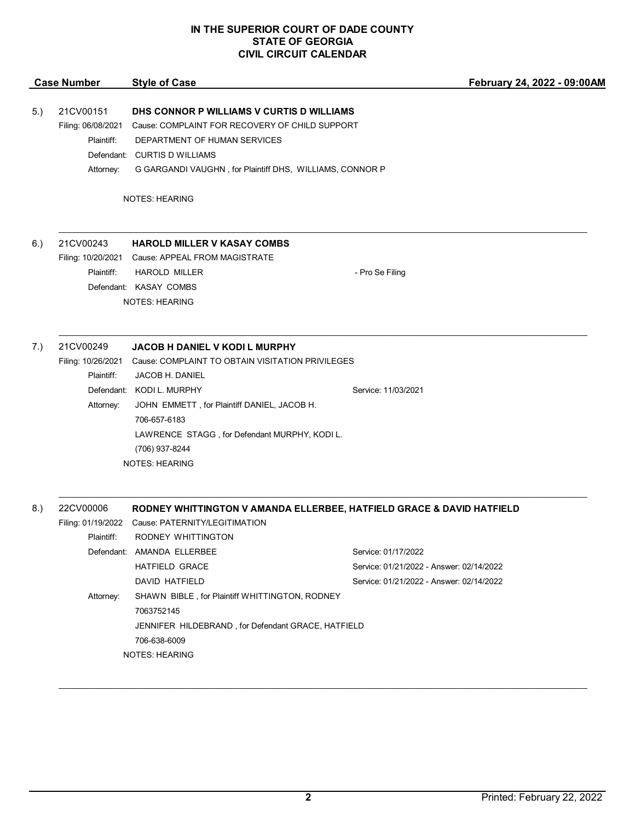## **IN THE SUPERIOR COURT OF DADE COUNTY STATE OF GEORGIA CIVIL CIRCUIT CALENDAR**

|     | <b>Case Number</b>              | <b>Style of Case</b>                                                                        | February 24, 2022 - 09:00AM              |
|-----|---------------------------------|---------------------------------------------------------------------------------------------|------------------------------------------|
| 5.) | 21CV00151<br>Filing: 06/08/2021 | DHS CONNOR P WILLIAMS V CURTIS D WILLIAMS<br>Cause: COMPLAINT FOR RECOVERY OF CHILD SUPPORT |                                          |
|     | Plaintiff:                      | DEPARTMENT OF HUMAN SERVICES                                                                |                                          |
|     |                                 | Defendant: CURTIS D WILLIAMS                                                                |                                          |
|     | Attorney:                       | G GARGANDI VAUGHN, for Plaintiff DHS, WILLIAMS, CONNOR P                                    |                                          |
|     |                                 | <b>NOTES: HEARING</b>                                                                       |                                          |
| 6.) | 21CV00243                       | <b>HAROLD MILLER V KASAY COMBS</b>                                                          |                                          |
|     | Filing: 10/20/2021              | Cause: APPEAL FROM MAGISTRATE                                                               |                                          |
|     | Plaintiff:                      | <b>HAROLD MILLER</b>                                                                        | - Pro Se Filing                          |
|     |                                 | Defendant: KASAY COMBS                                                                      |                                          |
|     |                                 | <b>NOTES: HEARING</b>                                                                       |                                          |
| 7.) | 21CV00249                       | <b>JACOB H DANIEL V KODI L MURPHY</b>                                                       |                                          |
|     | Filing: 10/26/2021              | Cause: COMPLAINT TO OBTAIN VISITATION PRIVILEGES                                            |                                          |
|     | Plaintiff:                      | JACOB H. DANIEL                                                                             |                                          |
|     |                                 | Defendant: KODI L. MURPHY                                                                   | Service: 11/03/2021                      |
|     | Attorney:                       | JOHN EMMETT, for Plaintiff DANIEL, JACOB H.                                                 |                                          |
|     |                                 | 706-657-6183                                                                                |                                          |
|     |                                 | LAWRENCE STAGG, for Defendant MURPHY, KODI L.                                               |                                          |
|     |                                 | (706) 937-8244                                                                              |                                          |
|     |                                 | <b>NOTES: HEARING</b>                                                                       |                                          |
|     |                                 |                                                                                             |                                          |
| 8.) | 22CV00006                       | RODNEY WHITTINGTON V AMANDA ELLERBEE, HATFIELD GRACE & DAVID HATFIELD                       |                                          |
|     | Filing: 01/19/2022              | Cause: PATERNITY/LEGITIMATION                                                               |                                          |
|     | Plaintiff:                      | RODNEY WHITTINGTON                                                                          |                                          |
|     |                                 | Defendant: AMANDA ELLERBEE                                                                  | Service: 01/17/2022                      |
|     |                                 | <b>HATFIELD GRACE</b>                                                                       | Service: 01/21/2022 - Answer: 02/14/2022 |
|     |                                 | DAVID HATFIELD                                                                              | Service: 01/21/2022 - Answer: 02/14/2022 |
|     | Attorney:                       | SHAWN BIBLE, for Plaintiff WHITTINGTON, RODNEY                                              |                                          |
|     |                                 | 7063752145                                                                                  |                                          |
|     |                                 | JENNIFER HILDEBRAND, for Defendant GRACE, HATFIELD                                          |                                          |
|     |                                 | 706-638-6009                                                                                |                                          |
|     |                                 | <b>NOTES: HEARING</b>                                                                       |                                          |

\_\_\_\_\_\_\_\_\_\_\_\_\_\_\_\_\_\_\_\_\_\_\_\_\_\_\_\_\_\_\_\_\_\_\_\_\_\_\_\_\_\_\_\_\_\_\_\_\_\_\_\_\_\_\_\_\_\_\_\_\_\_\_\_\_\_\_\_\_\_\_\_\_\_\_\_\_\_\_\_\_\_\_\_\_\_\_\_\_\_\_\_\_\_\_\_\_\_\_\_\_\_\_\_\_\_\_\_\_\_\_\_\_\_\_\_\_\_